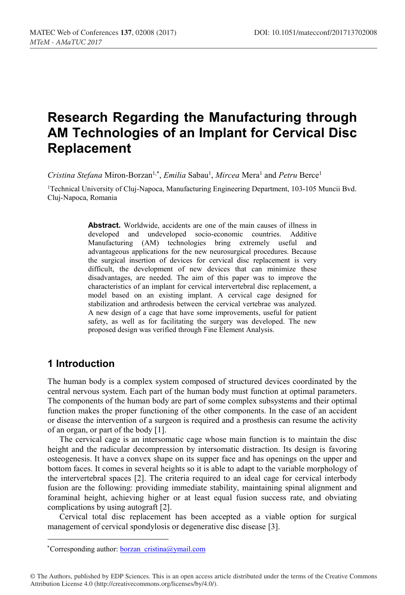# **Research Regarding the Manufacturing through AM Technologies of an Implant for Cervical Disc Replacement**

Cristina Stefana Miron-Borzan<sup>1,\*</sup>, *Emilia* Sabau<sup>1</sup>, *Mircea* Mera<sup>1</sup> and *Petru* Berce<sup>1</sup>

1Technical University of Cluj-Napoca, Manufacturing Engineering Department, 103-105 Muncii Bvd. Cluj-Napoca, Romania

> **Abstract.** Worldwide, accidents are one of the main causes of illness in developed and undeveloped socio-economic countries. Additive Manufacturing (AM) technologies bring extremely useful and advantageous applications for the new neurosurgical procedures. Because the surgical insertion of devices for cervical disc replacement is very difficult, the development of new devices that can minimize these disadvantages, are needed. The aim of this paper was to improve the characteristics of an implant for cervical intervertebral disc replacement, a model based on an existing implant. A cervical cage designed for stabilization and arthrodesis between the cervical vertebrae was analyzed. A new design of a cage that have some improvements, useful for patient safety, as well as for facilitating the surgery was developed. The new proposed design was verified through Fine Element Analysis.

# **1 Introduction**

The human body is a complex system composed of structured devices coordinated by the central nervous system. Each part of the human body must function at optimal parameters. The components of the human body are part of some complex subsystems and their optimal function makes the proper functioning of the other components. In the case of an accident or disease the intervention of a surgeon is required and a prosthesis can resume the activity of an organ, or part of the body [1].

The cervical cage is an intersomatic cage whose main function is to maintain the disc height and the radicular decompression by intersomatic distraction. Its design is favoring osteogenesis. It have a convex shape on its supper face and has openings on the upper and bottom faces. It comes in several heights so it is able to adapt to the variable morphology of the intervertebral spaces [2]. The criteria required to an ideal cage for cervical interbody fusion are the following: providing immediate stability, maintaining spinal alignment and foraminal height, achieving higher or at least equal fusion success rate, and obviating complications by using autograft [2].

Cervical total disc replacement has been accepted as a viable option for surgical management of cervical spondylosis or degenerative disc disease [3].

\*Corresponding author: borzan\_cristina@ymail.com

<sup>©</sup> The Authors, published by EDP Sciences. This is an open access article distributed under the terms of the Creative Commons Attribution License 4.0 (http://creativecommons.org/licenses/by/4.0/).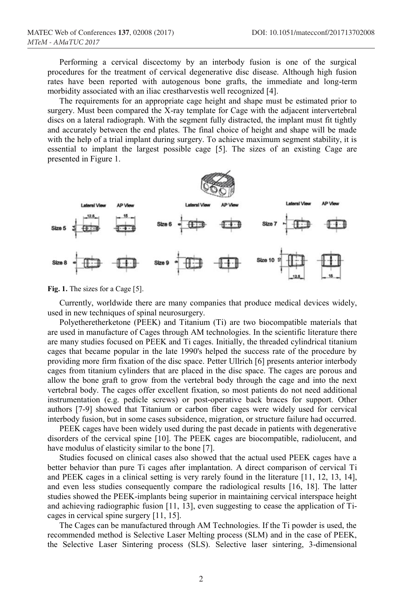Performing a cervical discectomy by an interbody fusion is one of the surgical procedures for the treatment of cervical degenerative disc disease. Although high fusion rates have been reported with autogenous bone grafts, the immediate and long-term morbidity associated with an iliac crestharvestis well recognized [4].

The requirements for an appropriate cage height and shape must be estimated prior to surgery. Must been compared the X-ray template for Cage with the adjacent intervertebral discs on a lateral radiograph. With the segment fully distracted, the implant must fit tightly and accurately between the end plates. The final choice of height and shape will be made with the help of a trial implant during surgery. To achieve maximum segment stability, it is essential to implant the largest possible cage [5]. The sizes of an existing Cage are presented in Figure 1.



Fig. 1. The sizes for a Cage [5].

Currently, worldwide there are many companies that produce medical devices widely, used in new techniques of spinal neurosurgery.

Polyetheretherketone (PEEK) and Titanium (Ti) are two biocompatible materials that are used in manufacture of Cages through AM technologies. In the scientific literature there are many studies focused on PEEK and Ti cages. Initially, the threaded cylindrical titanium cages that became popular in the late 1990's helped the success rate of the procedure by providing more firm fixation of the disc space. Petter Ullrich [6] presents anterior interbody cages from titanium cylinders that are placed in the disc space. The cages are porous and allow the bone graft to grow from the vertebral body through the cage and into the next vertebral body. The cages offer excellent fixation, so most patients do not need additional instrumentation (e.g. pedicle screws) or post-operative back braces for support. Other authors [7-9] showed that Titanium or carbon fiber cages were widely used for cervical interbody fusion, but in some cases subsidence, migration, or structure failure had occurred.

PEEK cages have been widely used during the past decade in patients with degenerative disorders of the cervical spine [10]. The PEEK cages are biocompatible, radiolucent, and have modulus of elasticity similar to the bone [7].

Studies focused on clinical cases also showed that the actual used PEEK cages have a better behavior than pure Ti cages after implantation. A direct comparison of cervical Ti and PEEK cages in a clinical setting is very rarely found in the literature [11, 12, 13, 14], and even less studies consequently compare the radiological results [16, 18]. The latter studies showed the PEEK-implants being superior in maintaining cervical interspace height and achieving radiographic fusion [11, 13], even suggesting to cease the application of Ticages in cervical spine surgery [11, 15].

The Cages can be manufactured through AM Technologies. If the Ti powder is used, the recommended method is Selective Laser Melting process (SLM) and in the case of PEEK, the Selective Laser Sintering process (SLS). Selective laser sintering, 3-dimensional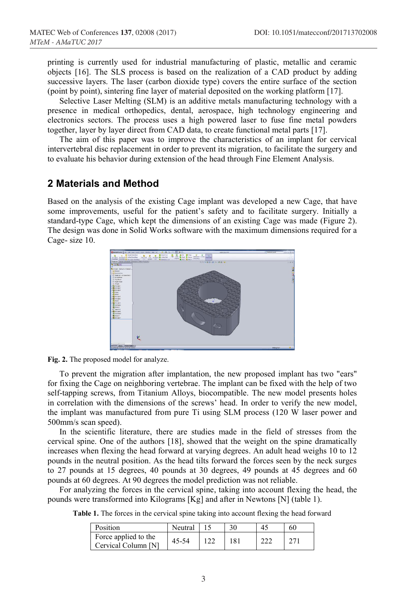printing is currently used for industrial manufacturing of plastic, metallic and ceramic objects [16]. The SLS process is based on the realization of a CAD product by adding successive layers. The laser (carbon dioxide type) covers the entire surface of the section (point by point), sintering fine layer of material deposited on the working platform [17].

Selective Laser Melting (SLM) is an additive metals manufacturing technology with a presence in medical orthopedics, dental, aerospace, high technology engineering and electronics sectors. The process uses a high powered laser to fuse fine metal powders together, layer by layer direct from CAD data, to create functional metal parts [17].

The aim of this paper was to improve the characteristics of an implant for cervical intervertebral disc replacement in order to prevent its migration, to facilitate the surgery and to evaluate his behavior during extension of the head through Fine Element Analysis.

# **2 Materials and Method**

Based on the analysis of the existing Cage implant was developed a new Cage, that have some improvements, useful for the patient's safety and to facilitate surgery. Initially a standard-type Cage, which kept the dimensions of an existing Cage was made (Figure 2). The design was done in Solid Works software with the maximum dimensions required for a Cage- size 10.





To prevent the migration after implantation, the new proposed implant has two "ears" for fixing the Cage on neighboring vertebrae. The implant can be fixed with the help of two self-tapping screws, from Titanium Alloys, biocompatible. The new model presents holes in correlation with the dimensions of the screws' head. In order to verify the new model, the implant was manufactured from pure Ti using SLM process (120 W laser power and 500mm/s scan speed).

In the scientific literature, there are studies made in the field of stresses from the cervical spine. One of the authors [18], showed that the weight on the spine dramatically increases when flexing the head forward at varying degrees. An adult head weighs 10 to 12 pounds in the neutral position. As the head tilts forward the forces seen by the neck surges to 27 pounds at 15 degrees, 40 pounds at 30 degrees, 49 pounds at 45 degrees and 60 pounds at 60 degrees. At 90 degrees the model prediction was not reliable.

For analyzing the forces in the cervical spine, taking into account flexing the head, the pounds were transformed into Kilograms [Kg] and after in Newtons [N] (table 1).

**Table 1.** The forces in the cervical spine taking into account flexing the head forward

| Position                                    | Neutral |     | 45  | 60           |
|---------------------------------------------|---------|-----|-----|--------------|
| Force applied to the<br>Cervical Column [N] | 45-54   | 181 | າາາ | $27^{\circ}$ |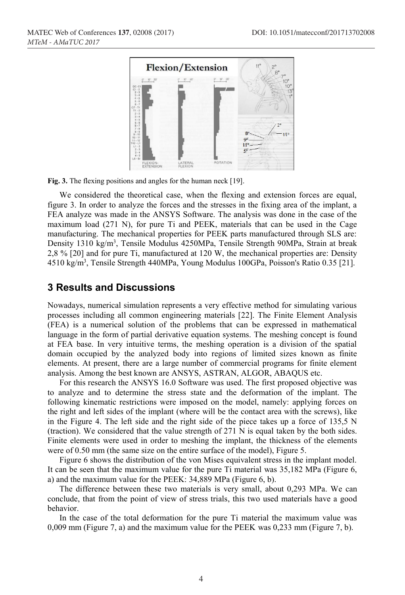

Fig. 3. The flexing positions and angles for the human neck [19].

We considered the theoretical case, when the flexing and extension forces are equal, figure 3. In order to analyze the forces and the stresses in the fixing area of the implant, a FEA analyze was made in the ANSYS Software. The analysis was done in the case of the maximum load (271 N), for pure Ti and PEEK, materials that can be used in the Cage manufacturing. The mechanical properties for PEEK parts manufactured through SLS are: Density 1310 kg/m<sup>3</sup>, Tensile Modulus 4250MPa, Tensile Strength 90MPa, Strain at break 2,8 % [20] and for pure Ti, manufactured at 120 W, the mechanical properties are: Density 4510 kg/m3 , Tensile Strength 440MPa, Young Modulus 100GPa, Poisson's Ratio 0.35 [21].

#### **3 Results and Discussions**

Nowadays, numerical simulation represents a very effective method for simulating various processes including all common engineering materials [22]. The Finite Element Analysis (FEA) is a numerical solution of the problems that can be expressed in mathematical language in the form of partial derivative equation systems. The meshing concept is found at FEA base. In very intuitive terms, the meshing operation is a division of the spatial domain occupied by the analyzed body into regions of limited sizes known as finite elements. At present, there are a large number of commercial programs for finite element analysis. Among the best known are ANSYS, ASTRAN, ALGOR, ABAQUS etc.

For this research the ANSYS 16.0 Software was used. The first proposed objective was to analyze and to determine the stress state and the deformation of the implant. The following kinematic restrictions were imposed on the model, namely: applying forces on the right and left sides of the implant (where will be the contact area with the screws), like in the Figure 4. The left side and the right side of the piece takes up a force of 135,5 N (traction). We considered that the value strength of 271 N is equal taken by the both sides. Finite elements were used in order to meshing the implant, the thickness of the elements were of 0.50 mm (the same size on the entire surface of the model), Figure 5.

Figure 6 shows the distribution of the von Mises equivalent stress in the implant model. It can be seen that the maximum value for the pure Ti material was 35,182 MPa (Figure 6, a) and the maximum value for the PEEK: 34,889 MPa (Figure 6, b).

The difference between these two materials is very small, about 0,293 MPa. We can conclude, that from the point of view of stress trials, this two used materials have a good behavior.

In the case of the total deformation for the pure Ti material the maximum value was 0,009 mm (Figure 7, a) and the maximum value for the PEEK was 0,233 mm (Figure 7, b).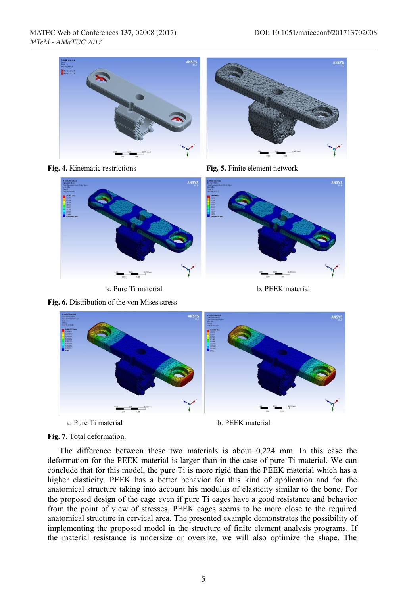









a. Pure Ti material b. PEEK material

**Fig. 6.** Distribution of the von Mises stress





- a. Pure Ti material b. PEEK material
	-

**Fig. 7.** Total deformation.

The difference between these two materials is about 0,224 mm. In this case the deformation for the PEEK material is larger than in the case of pure Ti material. We can conclude that for this model, the pure Ti is more rigid than the PEEK material which has a higher elasticity. PEEK has a better behavior for this kind of application and for the anatomical structure taking into account his modulus of elasticity similar to the bone. For the proposed design of the cage even if pure Ti cages have a good resistance and behavior from the point of view of stresses, PEEK cages seems to be more close to the required anatomical structure in cervical area. The presented example demonstrates the possibility of implementing the proposed model in the structure of finite element analysis programs. If the material resistance is undersize or oversize, we will also optimize the shape. The